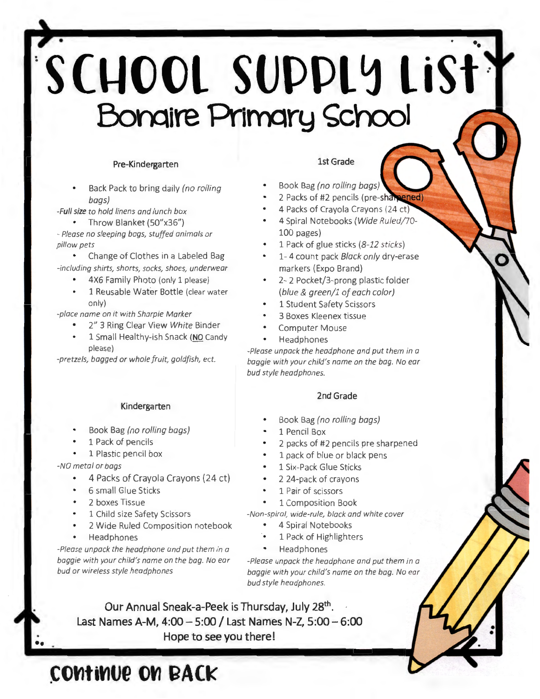# • ••  $^{\circ}$ SCHOOL SUPPLY LiSt<sup>3</sup> Bonaire Primary School

#### Pre-Kindergarten

Back Pack to bring daily (no rolling bags)

-Full size to hold linens and lunch box

• Throw Blanket (50"x36") - Please no sleeping bags, stuffed animals or pillow pets

Change of Clothes in a Labeled Bag -including shirts, shorts, socks, shoes, underwear

4X6 Family Photo (only 1 please)

• 1 Reusable Water Bottle (clear water only}

-place name on it with Sharpie Marker

- 2" 3 Ring Clear View White Binder
- 1 Small Healthy-ish Snack (NO Candy please)

-pretzels, bagged or whole fruit, goldfish, ect.

#### Kindergarten

- Book Bag (no rolling bags)
- 1 Pack of pencils
- 1 Plastic pencil box

-NO metal or bags

••

- 4 Packs of Crayola Crayons (24 ct)
- 6 small Glue Sticks
- 2 boxes Tissue
- 1 Child size Safety Scissors
- 2 Wide Ruled Composition notebook
- Headphones

-Please unpack the headphone and put them in a baggie with your child's name on the bag. No ear bud or wireless style headphones

#### 1st Grade

- Book Bag (no rolling bags)
- 2 Packs of #2 pencils (pre-shamened
- 4 Packs of Crayola Crayons {24 ct)
- 4 Spiral Notebooks (Wide Ruled/70- 100 pages)
- 1 Pack of glue sticks (8-12 sticks)
- 1- 4 count pack Black only dry-erase markers (Expo Brand)
- 2- 2 Pocket/3-prong plastic folder (blue & green/1 of each color)
- 1 Student Safety Scissors
- 3 Boxes Kleenex tissue
- Computer Mouse
- Headphones

-Please unpack the headphone and put them in a baggie with your child's name on the bag. No ear bud style headphones.

#### 2nd Grade

- Book Bag (no rolling bags)
- 1 Pencil Box
- 2 packs of #2 pencils pre sharpened
- 1 pack of blue or black pens
- 1 Six-Pack Glue Sticks
- 2 24-pack of crayons
- 1 Pair of scissors
- 1 Composition Book

-Non-spiral, wide-rule, black and white cover

- 4 Spiral Notebooks
- 1 Pack of Highlighters
- Headphones

-Please unpack the headphone and put them in a baggie with your child's name on the bag. No ear bud style headphones.

• •

Our Annual Sneak-a-Peek is Thursday, July 28th. Last Names A-M,  $4:00-5:00$  / Last Names N-Z,  $5:00-6:00$ Hope to see you there!

## **CONTINUE ON BACK**